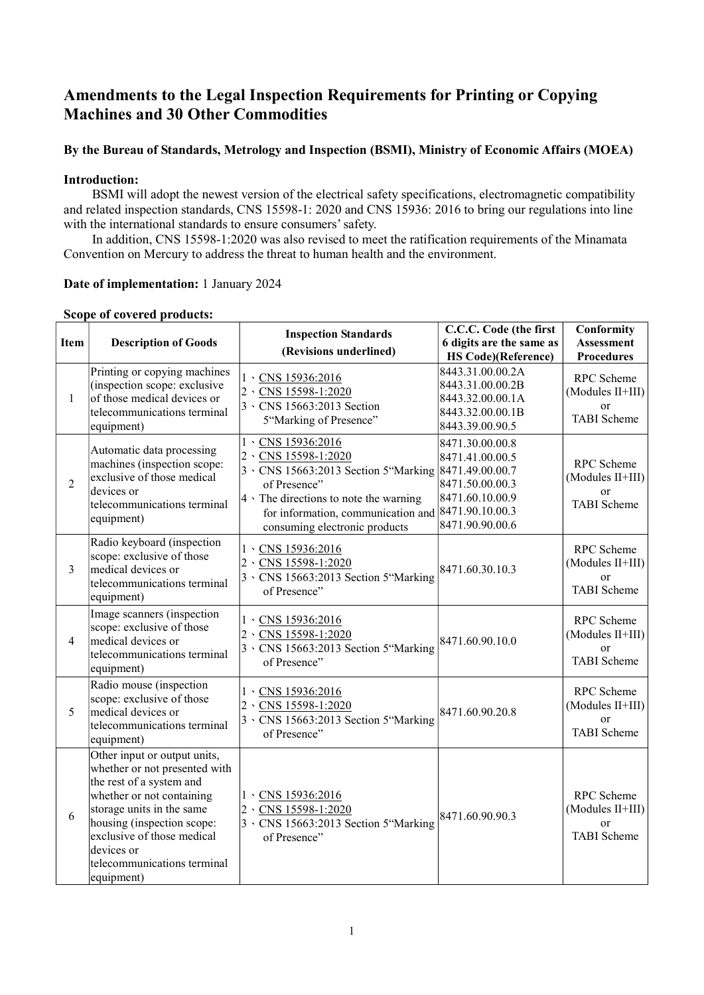# Amendments to the Legal Inspection Requirements for Printing or Copying Machines and 30 Other Commodities

## By the Bureau of Standards, Metrology and Inspection (BSMI), Ministry of Economic Affairs (MOEA)

### Introduction:

BSMI will adopt the newest version of the electrical safety specifications, electromagnetic compatibility and related inspection standards, CNS 15598-1: 2020 and CNS 15936: 2016 to bring our regulations into line with the international standards to ensure consumers' safety.

In addition, CNS 15598-1:2020 was also revised to meet the ratification requirements of the Minamata Convention on Mercury to address the threat to human health and the environment.

#### Date of implementation: 1 January 2024

| Item           | <b>Description of Goods</b>                                                                                                                                                                                                                                                | <b>Inspection Standards</b><br>(Revisions underlined)                                                                                                                                                                                  | C.C.C. Code (the first<br>6 digits are the same as<br><b>HS Code)</b> (Reference)                              | Conformity<br><b>Assessment</b><br><b>Procedures</b>              |
|----------------|----------------------------------------------------------------------------------------------------------------------------------------------------------------------------------------------------------------------------------------------------------------------------|----------------------------------------------------------------------------------------------------------------------------------------------------------------------------------------------------------------------------------------|----------------------------------------------------------------------------------------------------------------|-------------------------------------------------------------------|
| $\mathbf{1}$   | Printing or copying machines<br>(inspection scope: exclusive<br>of those medical devices or<br>telecommunications terminal<br>equipment)                                                                                                                                   | 1 \CNS 15936:2016<br>2 \CNS 15598-1:2020<br>3 \ CNS 15663:2013 Section<br>5"Marking of Presence"                                                                                                                                       | 8443.31.00.00.2A<br>8443.31.00.00.2B<br>8443.32.00.00.1A<br>8443.32.00.00.1B<br>8443.39.00.90.5                | RPC Scheme<br>(Modules II+III)<br>or<br><b>TABI</b> Scheme        |
| $\overline{2}$ | Automatic data processing<br>machines (inspection scope:<br>exclusive of those medical<br>devices or<br>telecommunications terminal<br>equipment)                                                                                                                          | 1 \CNS 15936:2016<br>2 \CNS 15598-1:2020<br>3 \CNS 15663:2013 Section 5"Marking 8471.49.00.00.7<br>of Presence"<br>$4 \cdot$ The directions to note the warning<br>for information, communication and<br>consuming electronic products | 8471.30.00.00.8<br>8471.41.00.00.5<br>8471.50.00.00.3<br>8471.60.10.00.9<br>8471.90.10.00.3<br>8471.90.90.00.6 | RPC Scheme<br>(Modules II+III)<br>or<br><b>TABI</b> Scheme        |
| 3              | Radio keyboard (inspection<br>scope: exclusive of those<br>medical devices or<br>telecommunications terminal<br>equipment)                                                                                                                                                 | $1 \cdot$ CNS 15936:2016<br>2 \CNS 15598-1:2020<br>3 \ CNS 15663:2013 Section 5 "Marking<br>of Presence"                                                                                                                               | 8471.60.30.10.3                                                                                                | RPC Scheme<br>(Modules II+III)<br><b>or</b><br><b>TABI</b> Scheme |
| $\overline{4}$ | Image scanners (inspection<br>scope: exclusive of those<br>medical devices or<br>telecommunications terminal<br>equipment)                                                                                                                                                 | 1 \CNS 15936:2016<br>2 \CNS 15598-1:2020<br>3 \ CNS 15663:2013 Section 5 "Marking<br>of Presence"                                                                                                                                      | 8471.60.90.10.0                                                                                                | RPC Scheme<br>(Modules II+III)<br>or<br><b>TABI</b> Scheme        |
| 5              | Radio mouse (inspection<br>scope: exclusive of those<br>medical devices or<br>telecommunications terminal<br>equipment)                                                                                                                                                    | $1 \cdot$ CNS 15936:2016<br>CNS 15598-1:2020<br>$ 2 \rangle$<br>3 \ CNS 15663:2013 Section 5 "Marking<br>of Presence"                                                                                                                  | 8471.60.90.20.8                                                                                                | RPC Scheme<br>(Modules II+III)<br>or<br><b>TABI</b> Scheme        |
| 6              | Other input or output units,<br>whether or not presented with<br>the rest of a system and<br>whether or not containing<br>storage units in the same<br>housing (inspection scope:<br>exclusive of those medical<br>devices or<br>telecommunications terminal<br>equipment) | 1 \CNS 15936:2016<br>2 \CNS 15598-1:2020<br>3 \ CNS 15663:2013 Section 5"Marking<br>of Presence"                                                                                                                                       | 8471.60.90.90.3                                                                                                | RPC Scheme<br>(Modules II+III)<br>or<br><b>TABI</b> Scheme        |

#### Scope of covered products: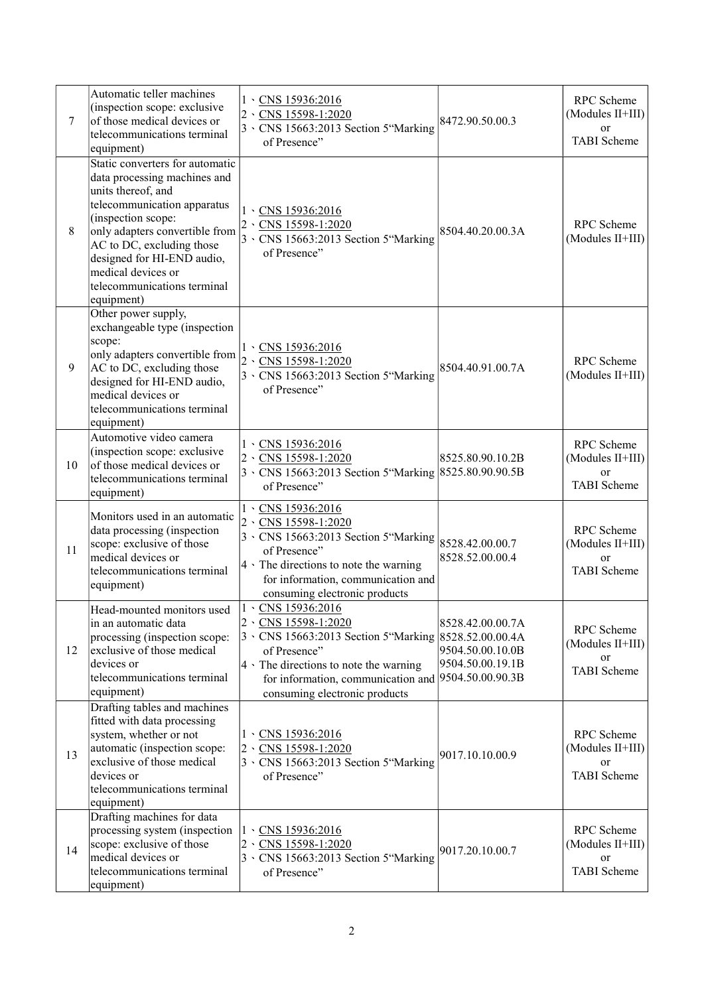| $\overline{7}$ | Automatic teller machines<br>(inspection scope: exclusive<br>of those medical devices or<br>telecommunications terminal<br>equipment)                                                                                                                                                                      | $1 \cdot$ CNS 15936:2016<br>CNS 15598-1:2020<br>$2 \cdot$<br>3 \CNS 15663:2013 Section 5"Marking<br>of Presence"                                                                                                                                    | 8472.90.50.00.3                                          | RPC Scheme<br>(Modules II+III)<br>or<br><b>TABI</b> Scheme   |
|----------------|------------------------------------------------------------------------------------------------------------------------------------------------------------------------------------------------------------------------------------------------------------------------------------------------------------|-----------------------------------------------------------------------------------------------------------------------------------------------------------------------------------------------------------------------------------------------------|----------------------------------------------------------|--------------------------------------------------------------|
| 8              | Static converters for automatic<br>data processing machines and<br>units thereof, and<br>telecommunication apparatus<br>(inspection scope:<br>only adapters convertible from<br>AC to DC, excluding those<br>designed for HI-END audio,<br>medical devices or<br>telecommunications terminal<br>equipment) | $1 \cdot$ CNS 15936:2016<br>2 \CNS 15598-1:2020<br>3 \ CNS 15663:2013 Section 5"Marking<br>of Presence"                                                                                                                                             | 8504.40.20.00.3A                                         | RPC Scheme<br>(Modules II+III)                               |
| 9              | Other power supply,<br>exchangeable type (inspection<br>scope:<br>only adapters convertible from<br>AC to DC, excluding those<br>designed for HI-END audio,<br>medical devices or<br>telecommunications terminal<br>equipment)                                                                             | $1 \cdot$ CNS 15936:2016<br>2 \CNS 15598-1:2020<br>3 \CNS 15663:2013 Section 5"Marking<br>of Presence"                                                                                                                                              | 8504.40.91.00.7A                                         | RPC Scheme<br>(Modules II+III)                               |
| 10             | Automotive video camera<br>(inspection scope: exclusive<br>of those medical devices or<br>telecommunications terminal<br>equipment)                                                                                                                                                                        | $1 \cdot$ CNS 15936:2016<br>2 \CNS 15598-1:2020<br>3 \CNS 15663:2013 Section 5"Marking 8525.80.90.90.5B<br>of Presence"                                                                                                                             | 8525.80.90.10.2B                                         | RPC Scheme<br>$(Modules II+III)$<br>or<br><b>TABI</b> Scheme |
| 11             | Monitors used in an automatic<br>data processing (inspection<br>scope: exclusive of those<br>medical devices or<br>telecommunications terminal<br>equipment)                                                                                                                                               | $1.$ CNS 15936:2016<br>2 \CNS 15598-1:2020<br>3 \ CNS 15663:2013 Section 5"Marking<br>of Presence"<br>4 \ The directions to note the warning<br>for information, communication and<br>consuming electronic products                                 | 8528.42.00.00.7<br>8528.52.00.00.4                       | RPC Scheme<br>(Modules II+III)<br>or<br><b>TABI</b> Scheme   |
| 12             | Head-mounted monitors used<br>in an automatic data<br>processing (inspection scope:<br>exclusive of those medical<br>devices or<br>telecommunications terminal<br>equipment)                                                                                                                               | 1 \CNS 15936:2016<br>2 \CNS 15598-1:2020<br>3 \CNS 15663:2013 Section 5"Marking 8528.52.00.00.4A<br>of Presence"<br>4 \ The directions to note the warning<br>for information, communication and  9504.50.00.90.3B<br>consuming electronic products | 8528.42.00.00.7A<br>9504.50.00.10.0B<br>9504.50.00.19.1B | RPC Scheme<br>(Modules II+III)<br>or<br><b>TABI</b> Scheme   |
| 13             | Drafting tables and machines<br>fitted with data processing<br>system, whether or not<br>automatic (inspection scope:<br>exclusive of those medical<br>devices or<br>telecommunications terminal<br>equipment)                                                                                             | $1 \cdot$ CNS 15936:2016<br>2 \CNS 15598-1:2020<br>3 \ CNS 15663:2013 Section 5"Marking<br>of Presence"                                                                                                                                             | 9017.10.10.00.9                                          | RPC Scheme<br>(Modules II+III)<br>or<br>TABI Scheme          |
| 14             | Drafting machines for data<br>processing system (inspection<br>scope: exclusive of those<br>medical devices or<br>telecommunications terminal<br>equipment)                                                                                                                                                | $1 \cdot$ CNS 15936:2016<br>$2 \cdot$<br>CNS 15598-1:2020<br>3 \ CNS 15663:2013 Section 5 "Marking<br>of Presence"                                                                                                                                  | 9017.20.10.00.7                                          | RPC Scheme<br>(Modules II+III)<br>or<br>TABI Scheme          |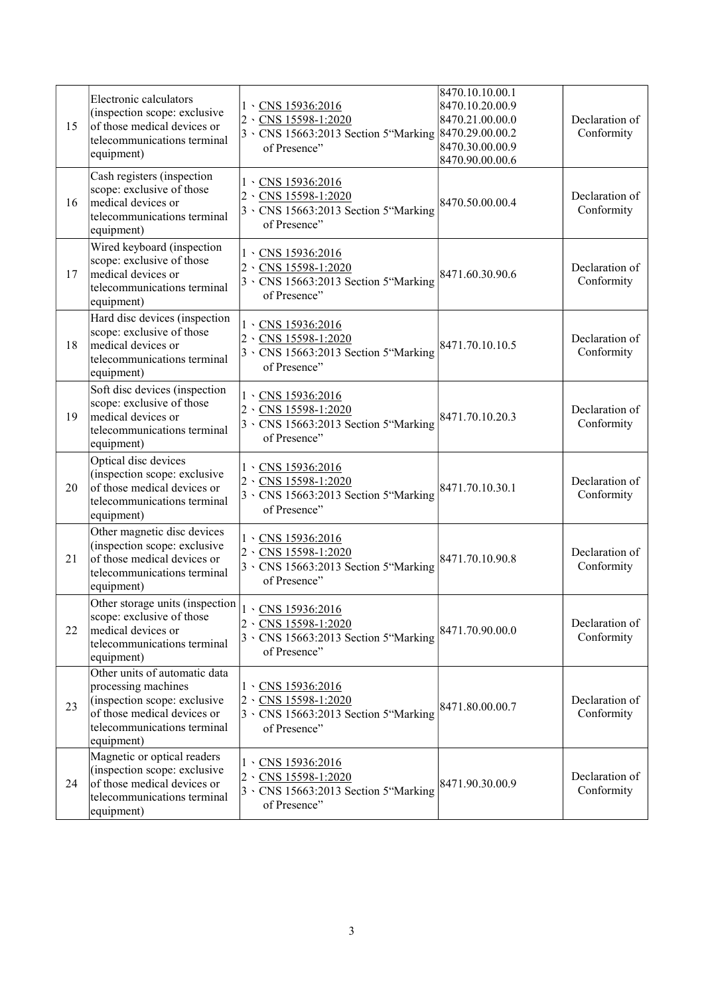| 15 | Electronic calculators<br>(inspection scope: exclusive<br>of those medical devices or<br>telecommunications terminal<br>equipment)                               | $1 \cdot$ CNS 15936:2016<br>2 \CNS 15598-1:2020<br>3 \CNS 15663:2013 Section 5"Marking 8470.29.00.00.2<br>of Presence" | 8470.10.10.00.1<br>8470.10.20.00.9<br>8470.21.00.00.0<br>8470.30.00.00.9<br>8470.90.00.00.6 | Declaration of<br>Conformity |
|----|------------------------------------------------------------------------------------------------------------------------------------------------------------------|------------------------------------------------------------------------------------------------------------------------|---------------------------------------------------------------------------------------------|------------------------------|
| 16 | Cash registers (inspection<br>scope: exclusive of those<br>medical devices or<br>telecommunications terminal<br>equipment)                                       | $1 \cdot$ CNS 15936:2016<br>2 \CNS 15598-1:2020<br>3 \ CNS 15663:2013 Section 5"Marking<br>of Presence"                | 8470.50.00.00.4                                                                             | Declaration of<br>Conformity |
| 17 | Wired keyboard (inspection<br>scope: exclusive of those<br>medical devices or<br>telecommunications terminal<br>equipment)                                       | $1.$ CNS 15936:2016<br>2 \CNS 15598-1:2020<br>3 \CNS 15663:2013 Section 5"Marking<br>of Presence"                      | 8471.60.30.90.6                                                                             | Declaration of<br>Conformity |
| 18 | Hard disc devices (inspection<br>scope: exclusive of those<br>medical devices or<br>telecommunications terminal<br>equipment)                                    | $1 \cdot$ CNS 15936:2016<br>2 \CNS 15598-1:2020<br>3 \ CNS 15663:2013 Section 5 "Marking<br>of Presence"               | 8471.70.10.10.5                                                                             | Declaration of<br>Conformity |
| 19 | Soft disc devices (inspection<br>scope: exclusive of those<br>medical devices or<br>telecommunications terminal<br>equipment)                                    | $1 \cdot$ CNS 15936:2016<br>2 \CNS 15598-1:2020<br>3 \ CNS 15663:2013 Section 5"Marking<br>of Presence"                | 8471.70.10.20.3                                                                             | Declaration of<br>Conformity |
| 20 | Optical disc devices<br>(inspection scope: exclusive<br>of those medical devices or<br>telecommunications terminal<br>equipment)                                 | $1 \cdot$ CNS 15936:2016<br>2 \CNS 15598-1:2020<br>3 \CNS 15663:2013 Section 5"Marking<br>of Presence"                 | 8471.70.10.30.1                                                                             | Declaration of<br>Conformity |
| 21 | Other magnetic disc devices<br>(inspection scope: exclusive<br>of those medical devices or<br>telecommunications terminal<br>equipment)                          | $1.$ CNS 15936:2016<br>2 \CNS 15598-1:2020<br>3 \ CNS 15663:2013 Section 5 "Marking<br>of Presence"                    | 8471.70.10.90.8                                                                             | Declaration of<br>Conformity |
| 22 | Other storage units (inspection<br>scope: exclusive of those<br>medical devices or<br>telecommunications terminal<br>equipment)                                  | 1 \CNS 15936:2016<br>2 \CNS 15598-1:2020<br>3 \ CNS 15663:2013 Section 5 "Marking<br>of Presence"                      | 8471.70.90.00.0                                                                             | Declaration of<br>Conformity |
| 23 | Other units of automatic data<br>processing machines<br>(inspection scope: exclusive<br>of those medical devices or<br>telecommunications terminal<br>equipment) | $1 \cdot$ CNS 15936:2016<br>2 \CNS 15598-1:2020<br>3 \ CNS 15663:2013 Section 5 "Marking<br>of Presence"               | 8471.80.00.00.7                                                                             | Declaration of<br>Conformity |
| 24 | Magnetic or optical readers<br>(inspection scope: exclusive<br>of those medical devices or<br>telecommunications terminal<br>equipment)                          | $1 \cdot$ CNS 15936:2016<br>2 \CNS 15598-1:2020<br>3 \CNS 15663:2013 Section 5"Marking<br>of Presence"                 | 8471.90.30.00.9                                                                             | Declaration of<br>Conformity |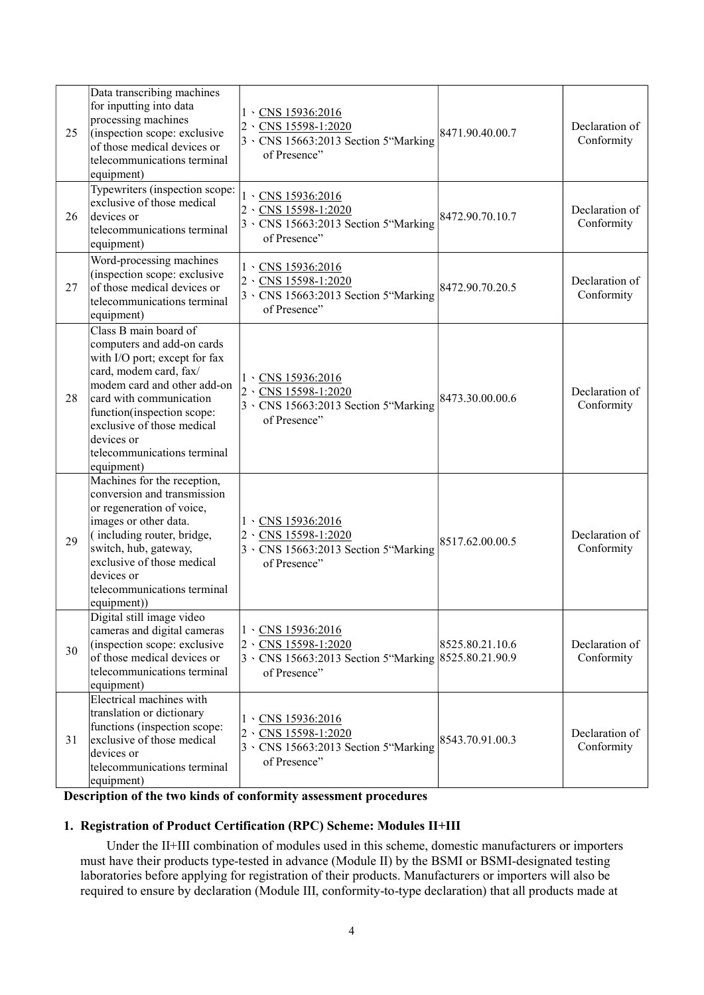| 25 | Data transcribing machines<br>for inputting into data<br>processing machines<br>(inspection scope: exclusive<br>of those medical devices or<br>telecommunications terminal<br>equipment)                                                                                                        | $1 \cdot$ CNS 15936:2016<br>CNS 15598-1:2020<br>$ 2 \rangle$<br>3 \ CNS 15663:2013 Section 5 "Marking<br>of Presence"                 | 8471.90.40.00.7 | Declaration of<br>Conformity |
|----|-------------------------------------------------------------------------------------------------------------------------------------------------------------------------------------------------------------------------------------------------------------------------------------------------|---------------------------------------------------------------------------------------------------------------------------------------|-----------------|------------------------------|
| 26 | Typewriters (inspection scope:<br>exclusive of those medical<br>devices or<br>telecommunications terminal<br>equipment)                                                                                                                                                                         | 1 \CNS 15936:2016<br>$2 \cdot$ CNS 15598-1:2020<br>3 \ CNS 15663:2013 Section 5 "Marking<br>of Presence"                              | 8472.90.70.10.7 | Declaration of<br>Conformity |
| 27 | Word-processing machines<br>(inspection scope: exclusive<br>of those medical devices or<br>telecommunications terminal<br>equipment)                                                                                                                                                            | $1 \cdot$ CNS 15936:2016<br>2 \CNS 15598-1:2020<br>3 \ CNS 15663:2013 Section 5 "Marking<br>of Presence"                              | 8472.90.70.20.5 | Declaration of<br>Conformity |
| 28 | Class B main board of<br>computers and add-on cards<br>with I/O port; except for fax<br>card, modem card, fax/<br>modem card and other add-on<br>card with communication<br>function(inspection scope:<br>exclusive of those medical<br>devices or<br>telecommunications terminal<br>equipment) | $1 \cdot$ CNS 15936:2016<br>2 \CNS 15598-1:2020<br>3 \ CNS 15663:2013 Section 5 "Marking<br>of Presence"                              | 8473.30.00.00.6 | Declaration of<br>Conformity |
| 29 | Machines for the reception,<br>conversion and transmission<br>or regeneration of voice,<br>images or other data.<br>(including router, bridge,<br>switch, hub, gateway,<br>exclusive of those medical<br>devices or<br>telecommunications terminal<br>equipment))                               | $1 \cdot$ CNS 15936:2016<br>$2 \cdot$ CNS 15598-1:2020<br>3 \ CNS 15663:2013 Section 5 "Marking<br>of Presence"                       | 8517.62.00.00.5 | Declaration of<br>Conformity |
| 30 | Digital still image video<br>cameras and digital cameras<br>(inspection scope: exclusive<br>of those medical devices or<br>telecommunications terminal<br>equipment)                                                                                                                            | 1 \CNS 15936:2016<br>$ 2 \rangle$<br>CNS 15598-1:2020<br>$3 \cdot$ CNS 15663:2013 Section 5 "Marking 8525.80.21.90.9"<br>of Presence" | 8525.80.21.10.6 | Declaration of<br>Conformity |
| 31 | <b>Electrical machines with</b><br>translation or dictionary<br>functions (inspection scope:<br>exclusive of those medical<br>devices or<br>telecommunications terminal<br>equipment)                                                                                                           | $1 \cdot$ CNS 15936:2016<br>CNS 15598-1:2020<br>$2 \cdot$<br>3 \ CNS 15663:2013 Section 5"Marking<br>of Presence"                     | 8543.70.91.00.3 | Declaration of<br>Conformity |

Description of the two kinds of conformity assessment procedures

## 1. Registration of Product Certification (RPC) Scheme: Modules II+III

Under the II+III combination of modules used in this scheme, domestic manufacturers or importers must have their products type-tested in advance (Module II) by the BSMI or BSMI-designated testing laboratories before applying for registration of their products. Manufacturers or importers will also be required to ensure by declaration (Module III, conformity-to-type declaration) that all products made at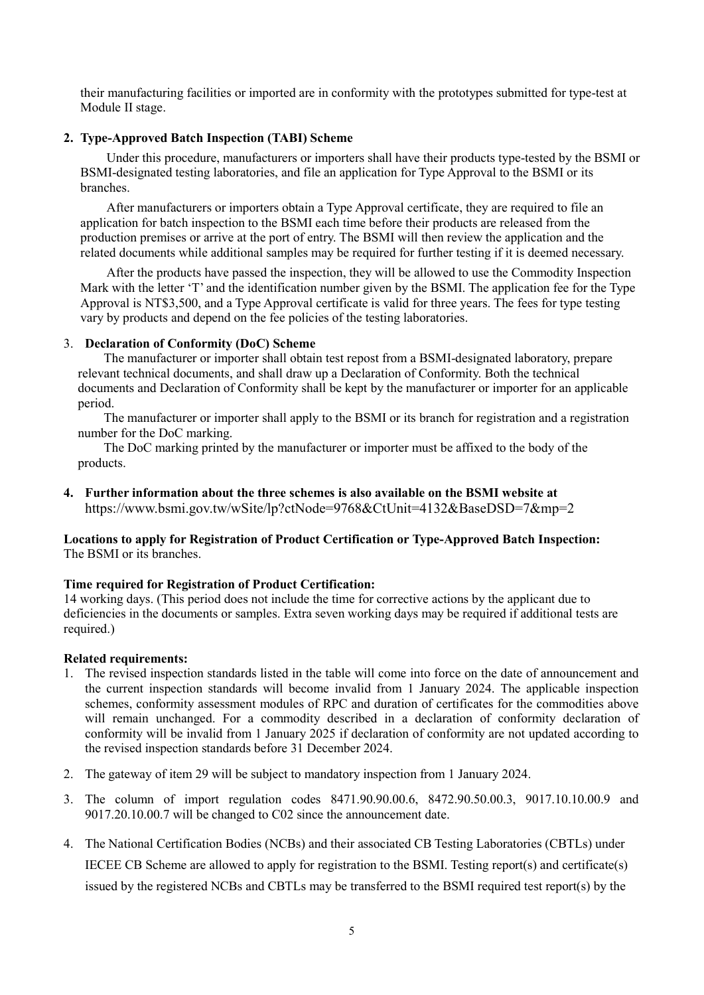their manufacturing facilities or imported are in conformity with the prototypes submitted for type-test at Module II stage.

#### 2. Type-Approved Batch Inspection (TABI) Scheme

Under this procedure, manufacturers or importers shall have their products type-tested by the BSMI or BSMI-designated testing laboratories, and file an application for Type Approval to the BSMI or its branches.

After manufacturers or importers obtain a Type Approval certificate, they are required to file an application for batch inspection to the BSMI each time before their products are released from the production premises or arrive at the port of entry. The BSMI will then review the application and the related documents while additional samples may be required for further testing if it is deemed necessary.

After the products have passed the inspection, they will be allowed to use the Commodity Inspection Mark with the letter 'T' and the identification number given by the BSMI. The application fee for the Type Approval is NT\$3,500, and a Type Approval certificate is valid for three years. The fees for type testing vary by products and depend on the fee policies of the testing laboratories.

### 3. Declaration of Conformity (DoC) Scheme

The manufacturer or importer shall obtain test repost from a BSMI-designated laboratory, prepare relevant technical documents, and shall draw up a Declaration of Conformity. Both the technical documents and Declaration of Conformity shall be kept by the manufacturer or importer for an applicable period.

The manufacturer or importer shall apply to the BSMI or its branch for registration and a registration number for the DoC marking.

The DoC marking printed by the manufacturer or importer must be affixed to the body of the products.

4. Further information about the three schemes is also available on the BSMI website at https://www.bsmi.gov.tw/wSite/lp?ctNode=9768&CtUnit=4132&BaseDSD=7&mp=2

### Locations to apply for Registration of Product Certification or Type-Approved Batch Inspection: The BSMI or its branches.

#### Time required for Registration of Product Certification:

14 working days. (This period does not include the time for corrective actions by the applicant due to deficiencies in the documents or samples. Extra seven working days may be required if additional tests are required.)

#### Related requirements:

- 1. The revised inspection standards listed in the table will come into force on the date of announcement and the current inspection standards will become invalid from 1 January 2024. The applicable inspection schemes, conformity assessment modules of RPC and duration of certificates for the commodities above will remain unchanged. For a commodity described in a declaration of conformity declaration of conformity will be invalid from 1 January 2025 if declaration of conformity are not updated according to the revised inspection standards before 31 December 2024.
- 2. The gateway of item 29 will be subject to mandatory inspection from 1 January 2024.
- 3. The column of import regulation codes 8471.90.90.00.6, 8472.90.50.00.3, 9017.10.10.00.9 and 9017.20.10.00.7 will be changed to C02 since the announcement date.
- 4. The National Certification Bodies (NCBs) and their associated CB Testing Laboratories (CBTLs) under IECEE CB Scheme are allowed to apply for registration to the BSMI. Testing report(s) and certificate(s) issued by the registered NCBs and CBTLs may be transferred to the BSMI required test report(s) by the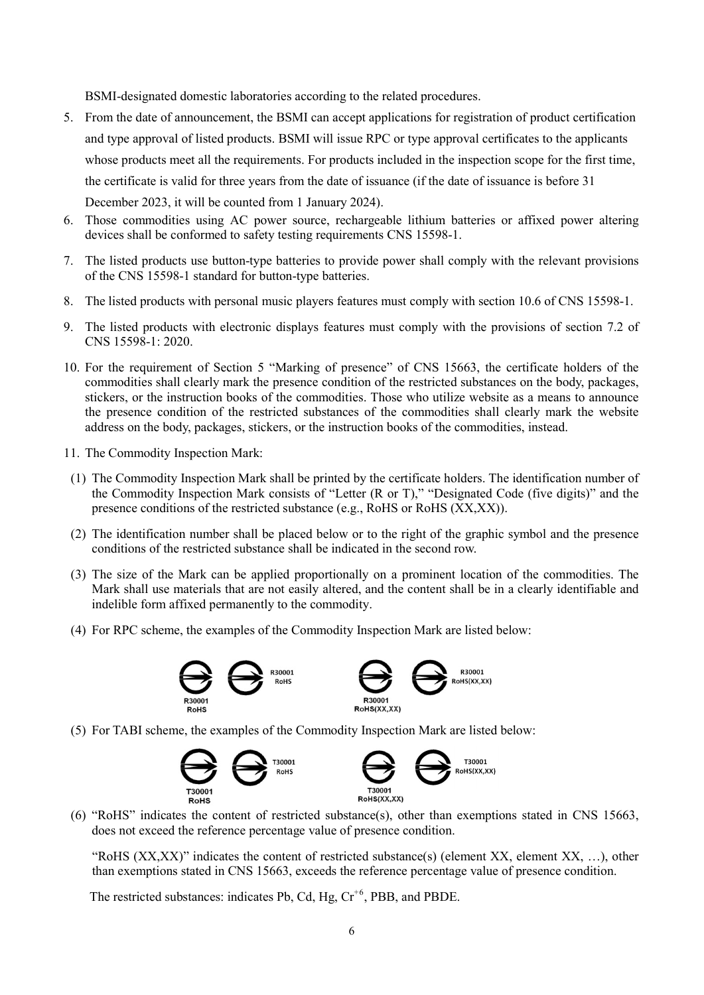BSMI-designated domestic laboratories according to the related procedures.

- 5. From the date of announcement, the BSMI can accept applications for registration of product certification and type approval of listed products. BSMI will issue RPC or type approval certificates to the applicants whose products meet all the requirements. For products included in the inspection scope for the first time, the certificate is valid for three years from the date of issuance (if the date of issuance is before 31 December 2023, it will be counted from 1 January 2024).
- 6. Those commodities using AC power source, rechargeable lithium batteries or affixed power altering devices shall be conformed to safety testing requirements CNS 15598-1.
- 7. The listed products use button-type batteries to provide power shall comply with the relevant provisions of the CNS 15598-1 standard for button-type batteries.
- 8. The listed products with personal music players features must comply with section 10.6 of CNS 15598-1.
- 9. The listed products with electronic displays features must comply with the provisions of section 7.2 of CNS 15598-1: 2020.
- 10. For the requirement of Section 5 "Marking of presence" of CNS 15663, the certificate holders of the commodities shall clearly mark the presence condition of the restricted substances on the body, packages, stickers, or the instruction books of the commodities. Those who utilize website as a means to announce the presence condition of the restricted substances of the commodities shall clearly mark the website address on the body, packages, stickers, or the instruction books of the commodities, instead.
- 11. The Commodity Inspection Mark:
- (1) The Commodity Inspection Mark shall be printed by the certificate holders. The identification number of the Commodity Inspection Mark consists of "Letter (R or T)," "Designated Code (five digits)" and the presence conditions of the restricted substance (e.g., RoHS or RoHS (XX,XX)).
- (2) The identification number shall be placed below or to the right of the graphic symbol and the presence conditions of the restricted substance shall be indicated in the second row.
- (3) The size of the Mark can be applied proportionally on a prominent location of the commodities. The Mark shall use materials that are not easily altered, and the content shall be in a clearly identifiable and indelible form affixed permanently to the commodity.
- (4) For RPC scheme, the examples of the Commodity Inspection Mark are listed below:



(5) For TABI scheme, the examples of the Commodity Inspection Mark are listed below:



(6) "RoHS" indicates the content of restricted substance(s), other than exemptions stated in CNS 15663, does not exceed the reference percentage value of presence condition.

"RoHS  $(XX,XX)$ " indicates the content of restricted substance(s) (element XX, element XX, ...), other than exemptions stated in CNS 15663, exceeds the reference percentage value of presence condition.

The restricted substances: indicates Pb, Cd, Hg,  $Cr^{+6}$ , PBB, and PBDE.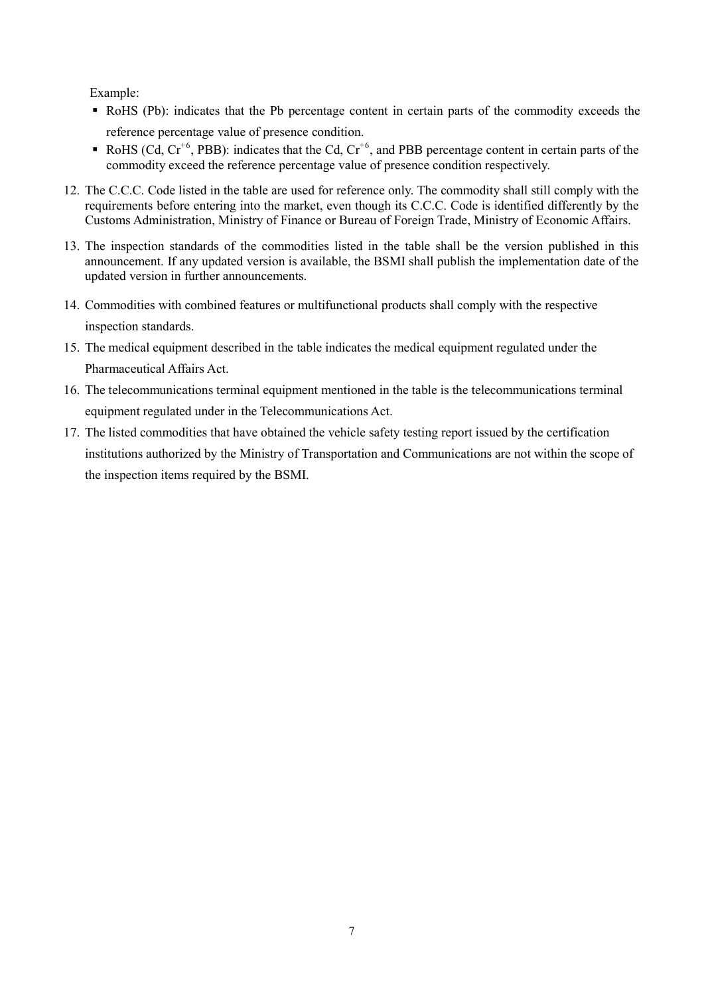Example:

- RoHS (Pb): indicates that the Pb percentage content in certain parts of the commodity exceeds the reference percentage value of presence condition.
- RoHS (Cd,  $Cr^{+6}$ , PBB): indicates that the Cd,  $Cr^{+6}$ , and PBB percentage content in certain parts of the commodity exceed the reference percentage value of presence condition respectively.
- 12. The C.C.C. Code listed in the table are used for reference only. The commodity shall still comply with the requirements before entering into the market, even though its C.C.C. Code is identified differently by the Customs Administration, Ministry of Finance or Bureau of Foreign Trade, Ministry of Economic Affairs.
- 13. The inspection standards of the commodities listed in the table shall be the version published in this announcement. If any updated version is available, the BSMI shall publish the implementation date of the updated version in further announcements.
- 14. Commodities with combined features or multifunctional products shall comply with the respective inspection standards.
- 15. The medical equipment described in the table indicates the medical equipment regulated under the Pharmaceutical Affairs Act.
- 16. The telecommunications terminal equipment mentioned in the table is the telecommunications terminal equipment regulated under in the Telecommunications Act.
- 17. The listed commodities that have obtained the vehicle safety testing report issued by the certification institutions authorized by the Ministry of Transportation and Communications are not within the scope of the inspection items required by the BSMI.